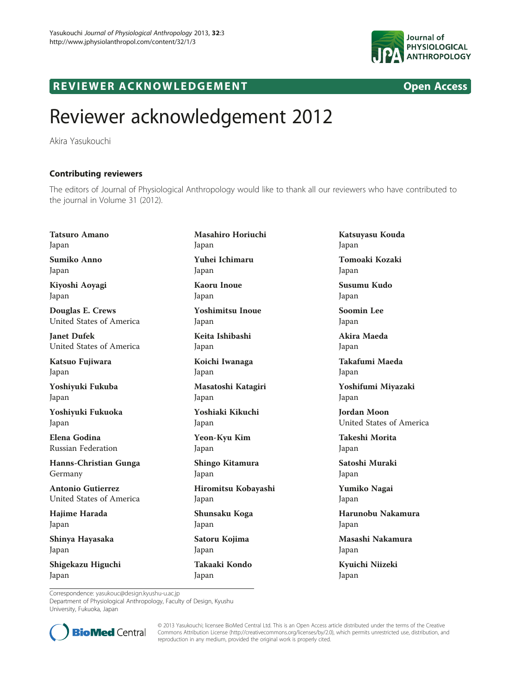

## R EVI EW E R ACKNOWL L EW EN T OPEN ACCESS OF THE EW END ACCESS OF THE EXTENSION OF THE EXTENSION OF THE EXTENSION

## Reviewer acknowledgement 2012

Akira Yasukouchi

## Contributing reviewers

The editors of Journal of Physiological Anthropology would like to thank all our reviewers who have contributed to the journal in Volume 31 (2012).

Tatsuro Amano Japan Sumiko Anno Japan Kiyoshi Aoyagi Japan Douglas E. Crews United States of America Janet Dufek United States of America Katsuo Fujiwara Japan Yoshiyuki Fukuba Japan Yoshiyuki Fukuoka Japan Elena Godina Russian Federation Hanns-Christian Gunga Germany

Antonio Gutierrez United States of America

Hajime Harada Japan

Shinya Hayasaka Japan

Shigekazu Higuchi Japan

Masahiro Horiuchi Japan Yuhei Ichimaru Japan Kaoru Inoue Japan Yoshimitsu Inoue Japan Keita Ishibashi Japan Koichi Iwanaga Japan Masatoshi Katagiri Japan Yoshiaki Kikuchi Japan Yeon-Kyu Kim Japan Shingo Kitamura Japan Hiromitsu Kobayashi Japan Shunsaku Koga Japan Satoru Kojima Japan Takaaki Kondo

Japan

Katsuyasu Kouda Japan Tomoaki Kozaki Japan Susumu Kudo Japan Soomin Lee Japan Akira Maeda Japan Takafumi Maeda Japan Yoshifumi Miyazaki Japan Jordan Moon United States of America Takeshi Morita Japan Satoshi Muraki Japan Yumiko Nagai Japan Harunobu Nakamura Japan Masashi Nakamura Japan

Kyuichi Niizeki Japan

Correspondence: [yasukouc@design.kyushu-u.ac.jp](mailto:yasukouc@design.kyushu-u.ac.jp)

Department of Physiological Anthropology, Faculty of Design, Kyushu University, Fukuoka, Japan



© 2013 Yasukouchi; licensee BioMed Central Ltd. This is an Open Access article distributed under the terms of the Creative Commons Attribution License [\(http://creativecommons.org/licenses/by/2.0\)](http://creativecommons.org/licenses/by/2.0), which permits unrestricted use, distribution, and reproduction in any medium, provided the original work is properly cited.